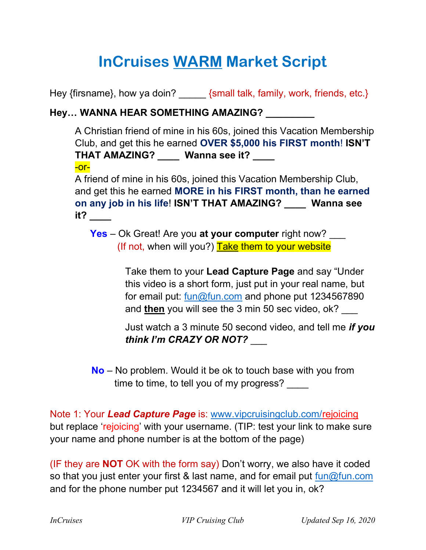## InCruises WARM Market Script

Hey {firsname}, how ya doin? {small talk, family, work, friends, etc.}

## Hey… WANNA HEAR SOMETHING AMAZING? \_\_\_\_\_\_\_\_\_

A Christian friend of mine in his 60s, joined this Vacation Membership Club, and get this he earned OVER \$5,000 his FIRST month! ISN'T THAT AMAZING? \_\_\_\_ Wanna see it? \_\_\_\_ -or-

A friend of mine in his 60s, joined this Vacation Membership Club, and get this he earned MORE in his FIRST month, than he earned on any job in his life! ISN'T THAT AMAZING? \_\_\_\_ Wanna see it? \_\_\_\_

Yes – Ok Great! Are you at your computer right now? \_\_\_ (If not, when will you?) Take them to your website

> Take them to your Lead Capture Page and say "Under this video is a short form, just put in your real name, but for email put: fun@fun.com and phone put 1234567890 and then you will see the 3 min 50 sec video, ok?

Just watch a 3 minute 50 second video, and tell me if you think I'm CRAZY OR NOT?

 No – No problem. Would it be ok to touch base with you from time to time, to tell you of my progress?

Note 1: Your Lead Capture Page is: www.vipcruisingclub.com/rejoicing but replace 'rejoicing' with your username. (TIP: test your link to make sure your name and phone number is at the bottom of the page)

(IF they are NOT OK with the form say) Don't worry, we also have it coded so that you just enter your first & last name, and for email put  $\frac{\text{fun}\textcircled{1}{\text{un}}\text{conn}}{P}$ and for the phone number put 1234567 and it will let you in, ok?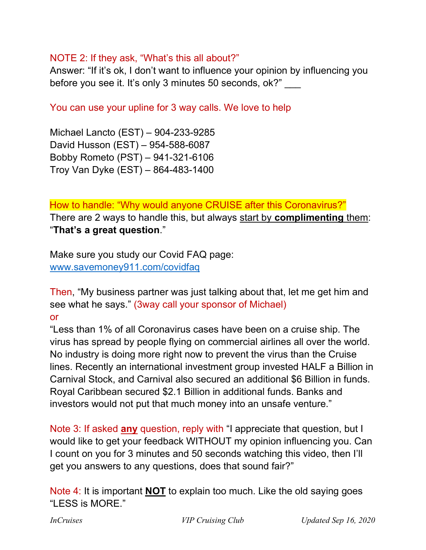## NOTE 2: If they ask, "What's this all about?"

Answer: "If it's ok, I don't want to influence your opinion by influencing you before you see it. It's only 3 minutes 50 seconds, ok?" \_\_\_

You can use your upline for 3 way calls. We love to help

Michael Lancto (EST) – 904-233-9285 David Husson (EST) – 954-588-6087 Bobby Rometo (PST) – 941-321-6106 Troy Van Dyke (EST) – 864-483-1400

How to handle: "Why would anyone CRUISE after this Coronavirus?" There are 2 ways to handle this, but always start by complimenting them: "That's a great question."

Make sure you study our Covid FAQ page: www.savemoney911.com/covidfaq

Then, "My business partner was just talking about that, let me get him and see what he says." (3way call your sponsor of Michael) or

"Less than 1% of all Coronavirus cases have been on a cruise ship. The virus has spread by people flying on commercial airlines all over the world. No industry is doing more right now to prevent the virus than the Cruise lines. Recently an international investment group invested HALF a Billion in Carnival Stock, and Carnival also secured an additional \$6 Billion in funds. Royal Caribbean secured \$2.1 Billion in additional funds. Banks and investors would not put that much money into an unsafe venture."

Note 3: If asked any question, reply with "I appreciate that question, but I would like to get your feedback WITHOUT my opinion influencing you. Can I count on you for 3 minutes and 50 seconds watching this video, then I'll get you answers to any questions, does that sound fair?"

Note 4: It is important NOT to explain too much. Like the old saying goes "LESS is MORE."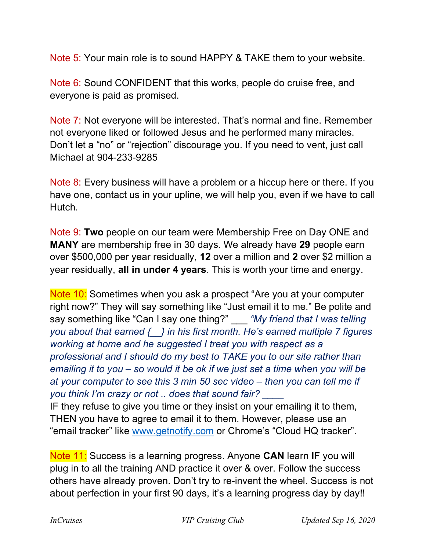Note 5: Your main role is to sound HAPPY & TAKE them to your website.

Note 6: Sound CONFIDENT that this works, people do cruise free, and everyone is paid as promised.

Note 7: Not everyone will be interested. That's normal and fine. Remember not everyone liked or followed Jesus and he performed many miracles. Don't let a "no" or "rejection" discourage you. If you need to vent, just call Michael at 904-233-9285

Note 8: Every business will have a problem or a hiccup here or there. If you have one, contact us in your upline, we will help you, even if we have to call Hutch.

Note 9: Two people on our team were Membership Free on Day ONE and MANY are membership free in 30 days. We already have 29 people earn over \$500,000 per year residually, 12 over a million and 2 over \$2 million a year residually, all in under 4 years. This is worth your time and energy.

Note 10: Sometimes when you ask a prospect "Are you at your computer" right now?" They will say something like "Just email it to me." Be polite and say something like "Can I say one thing?" \_\_\_ "My friend that I was telling you about that earned  $\{\ \}$  in his first month. He's earned multiple 7 figures working at home and he suggested I treat you with respect as a professional and I should do my best to TAKE you to our site rather than emailing it to you – so would it be ok if we just set a time when you will be at your computer to see this 3 min 50 sec video – then you can tell me if you think I'm crazy or not .. does that sound fair?

IF they refuse to give you time or they insist on your emailing it to them, THEN you have to agree to email it to them. However, please use an "email tracker" like www.getnotify.com or Chrome's "Cloud HQ tracker".

Note 11: Success is a learning progress. Anyone CAN learn IF you will plug in to all the training AND practice it over & over. Follow the success others have already proven. Don't try to re-invent the wheel. Success is not about perfection in your first 90 days, it's a learning progress day by day!!